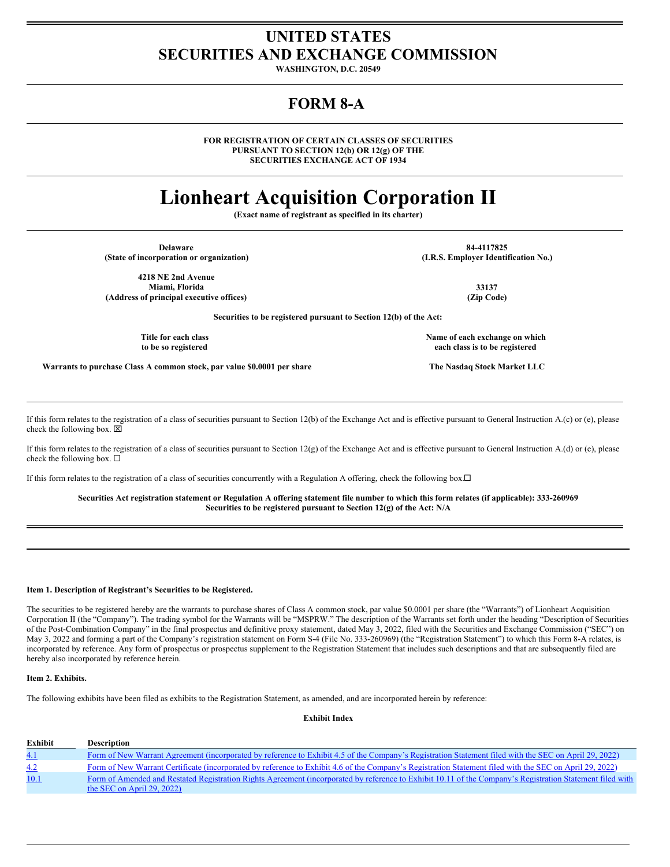# **UNITED STATES SECURITIES AND EXCHANGE COMMISSION**

**WASHINGTON, D.C. 20549**

# **FORM 8-A**

**FOR REGISTRATION OF CERTAIN CLASSES OF SECURITIES PURSUANT TO SECTION 12(b) OR 12(g) OF THE SECURITIES EXCHANGE ACT OF 1934**

# **Lionheart Acquisition Corporation II**

**(Exact name of registrant as specified in its charter)**

| <b>Delaware</b>                                                         | 84-4117825                           |
|-------------------------------------------------------------------------|--------------------------------------|
| (State of incorporation or organization)                                | (I.R.S. Employer Identification No.) |
| 4218 NE 2nd Avenue                                                      |                                      |
| Miami, Florida                                                          | 33137                                |
| (Address of principal executive offices)                                | (Zip Code)                           |
| Securities to be registered pursuant to Section 12(b) of the Act:       |                                      |
| Title for each class                                                    | Name of each exchange on which       |
| to be so registered                                                     | each class is to be registered       |
| Warrants to purchase Class A common stock, par value \$0.0001 per share | The Nasdaq Stock Market LLC          |

If this form relates to the registration of a class of securities pursuant to Section 12(b) of the Exchange Act and is effective pursuant to General Instruction A.(c) or (e), please check the following box.  $\boxtimes$ 

If this form relates to the registration of a class of securities pursuant to Section 12(g) of the Exchange Act and is effective pursuant to General Instruction A.(d) or (e), please check the following box.  $\Box$ 

If this form relates to the registration of a class of securities concurrently with a Regulation A offering, check the following box.<sup>[]</sup>

#### Securities Act registration statement or Regulation A offering statement file number to which this form relates (if applicable): 333-260969 **Securities to be registered pursuant to Section 12(g) of the Act: N/A**

#### **Item 1. Description of Registrant's Securities to be Registered.**

The securities to be registered hereby are the warrants to purchase shares of Class A common stock, par value \$0.0001 per share (the "Warrants") of Lionheart Acquisition Corporation II (the "Company"). The trading symbol for the Warrants will be "MSPRW." The description of the Warrants set forth under the heading "Description of Securities of the Post-Combination Company" in the final prospectus and definitive proxy statement, dated May 3, 2022, filed with the Securities and Exchange Commission ("SEC") on May 3, 2022 and forming a part of the Company's registration statement on Form S-4 (File No. 333-260969) (the "Registration Statement") to which this Form 8-A relates, is incorporated by reference. Any form of prospectus or prospectus supplement to the Registration Statement that includes such descriptions and that are subsequently filed are hereby also incorporated by reference herein.

### **Item 2. Exhibits.**

The following exhibits have been filed as exhibits to the Registration Statement, as amended, and are incorporated herein by reference:

**Exhibit Index**

| <b>Exhibit</b> | <b>Description</b>                                                                                                                                                                      |
|----------------|-----------------------------------------------------------------------------------------------------------------------------------------------------------------------------------------|
| 4.1            | Form of New Warrant Agreement (incorporated by reference to Exhibit 4.5 of the Company's Registration Statement filed with the SEC on April 29, 2022)                                   |
| 4.2            | Form of New Warrant Certificate (incorporated by reference to Exhibit 4.6 of the Company's Registration Statement filed with the SEC on April 29, 2022)                                 |
| 10.1           | Form of Amended and Restated Registration Rights Agreement (incorporated by reference to Exhibit 10.11 of the Company's Registration Statement filed with<br>the SEC on April 29, 2022) |